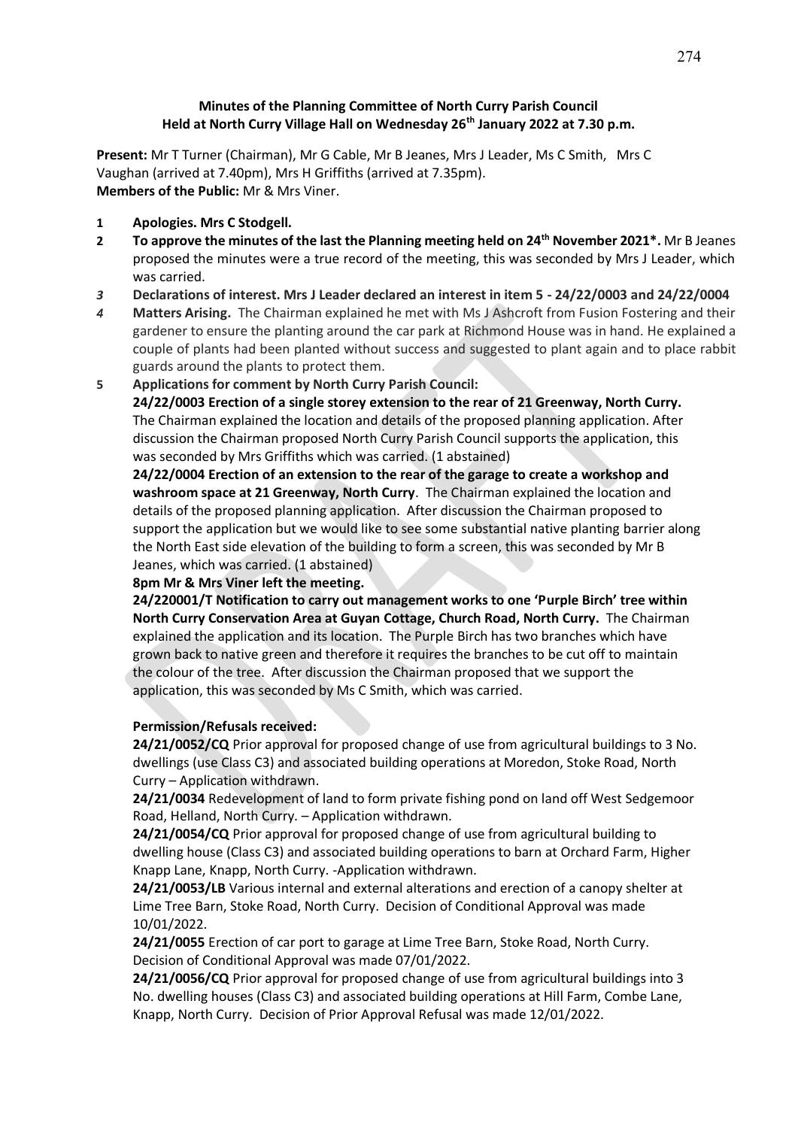## **Minutes of the Planning Committee of North Curry Parish Council Held at North Curry Village Hall on Wednesday 26th January 2022 at 7.30 p.m.**

**Present:** Mr T Turner (Chairman), Mr G Cable, Mr B Jeanes, Mrs J Leader, Ms C Smith, Mrs C Vaughan (arrived at 7.40pm), Mrs H Griffiths (arrived at 7.35pm). **Members of the Public:** Mr & Mrs Viner.

- **1 Apologies. Mrs C Stodgell.**
- **2 To approve the minutes of the last the Planning meeting held on 24th November 2021\*.** Mr B Jeanes proposed the minutes were a true record of the meeting, this was seconded by Mrs J Leader, which was carried.
- *3* **Declarations of interest. Mrs J Leader declared an interest in item 5 - 24/22/0003 and 24/22/0004**
- *4* **Matters Arising.** The Chairman explained he met with Ms J Ashcroft from Fusion Fostering and their gardener to ensure the planting around the car park at Richmond House was in hand. He explained a couple of plants had been planted without success and suggested to plant again and to place rabbit guards around the plants to protect them.
- **5 Applications for comment by North Curry Parish Council:**

**24/22/0003 Erection of a single storey extension to the rear of 21 Greenway, North Curry.** The Chairman explained the location and details of the proposed planning application. After discussion the Chairman proposed North Curry Parish Council supports the application, this was seconded by Mrs Griffiths which was carried. (1 abstained)

**24/22/0004 Erection of an extension to the rear of the garage to create a workshop and washroom space at 21 Greenway, North Curry**. The Chairman explained the location and details of the proposed planning application. After discussion the Chairman proposed to support the application but we would like to see some substantial native planting barrier along the North East side elevation of the building to form a screen, this was seconded by Mr B Jeanes, which was carried. (1 abstained)

# **8pm Mr & Mrs Viner left the meeting.**

**24/220001/T Notification to carry out management works to one 'Purple Birch' tree within North Curry Conservation Area at Guyan Cottage, Church Road, North Curry.** The Chairman explained the application and its location. The Purple Birch has two branches which have grown back to native green and therefore it requires the branches to be cut off to maintain the colour of the tree. After discussion the Chairman proposed that we support the application, this was seconded by Ms C Smith, which was carried.

#### **Permission/Refusals received:**

**24/21/0052/CQ** Prior approval for proposed change of use from agricultural buildings to 3 No. dwellings (use Class C3) and associated building operations at Moredon, Stoke Road, North Curry – Application withdrawn.

**24/21/0034** Redevelopment of land to form private fishing pond on land off West Sedgemoor Road, Helland, North Curry. – Application withdrawn.

**24/21/0054/CQ** Prior approval for proposed change of use from agricultural building to dwelling house (Class C3) and associated building operations to barn at Orchard Farm, Higher Knapp Lane, Knapp, North Curry. -Application withdrawn.

24/21/0053/LB Various internal and external alterations and erection of a canopy shelter at Lime Tree Barn, Stoke Road, North Curry. Decision of Conditional Approval was made 10/01/2022.

**24/21/0055** Erection of car port to garage at Lime Tree Barn, Stoke Road, North Curry. Decision of Conditional Approval was made 07/01/2022.

**24/21/0056/CQ** Prior approval for proposed change of use from agricultural buildings into 3 No. dwelling houses (Class C3) and associated building operations at Hill Farm, Combe Lane, Knapp, North Curry. Decision of Prior Approval Refusal was made 12/01/2022.